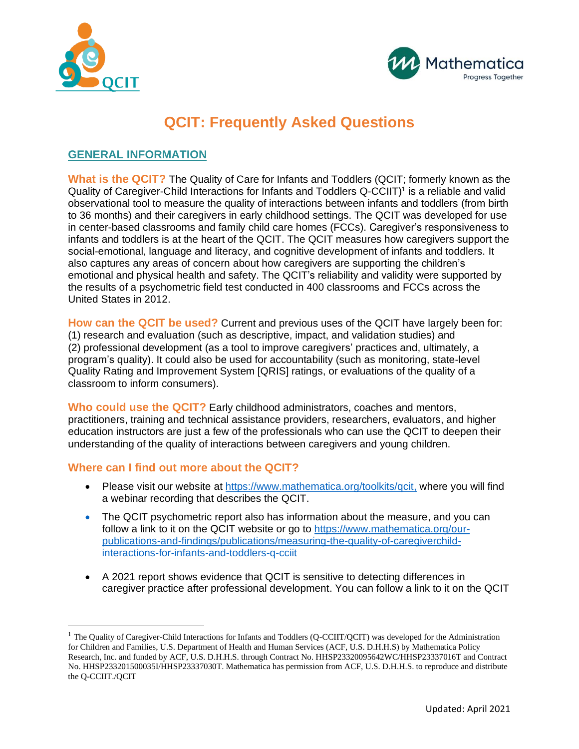



# **QCIT: Frequently Asked Questions**

## **GENERAL INFORMATION**

**What is the QCIT?** The Quality of Care for Infants and Toddlers (QCIT; formerly known as the Quality of Caregiver-Child Interactions for Infants and Toddlers Q-CCIIT)<sup>1</sup> is a reliable and valid observational tool to measure the quality of interactions between infants and toddlers (from birth to 36 months) and their caregivers in early childhood settings. The QCIT was developed for use in center-based classrooms and family child care homes (FCCs). Caregiver's responsiveness to infants and toddlers is at the heart of the QCIT. The QCIT measures how caregivers support the social-emotional, language and literacy, and cognitive development of infants and toddlers. It also captures any areas of concern about how caregivers are supporting the children's emotional and physical health and safety. The QCIT's reliability and validity were supported by the results of a psychometric field test conducted in 400 classrooms and FCCs across the United States in 2012.

**How can the QCIT be used?** Current and previous uses of the QCIT have largely been for: (1) research and evaluation (such as descriptive, impact, and validation studies) and (2) professional development (as a tool to improve caregivers' practices and, ultimately, a program's quality). It could also be used for accountability (such as monitoring, state-level Quality Rating and Improvement System [QRIS] ratings, or evaluations of the quality of a classroom to inform consumers).

**Who could use the QCIT?** Early childhood administrators, coaches and mentors, practitioners, training and technical assistance providers, researchers, evaluators, and higher education instructors are just a few of the professionals who can use the QCIT to deepen their understanding of the quality of interactions between caregivers and young children.

#### **Where can I find out more about the QCIT?**

- Please visit our website at [https://www.mathematica.org/toolkits/qcit,](https://www.mathematica.org/toolkits/qcit) where you will find a webinar recording that describes the QCIT.
- The QCIT psychometric report also has information about the measure, and you can follow a link to it on the QCIT website or go to [https://www.mathematica.org/our](https://www.mathematica.org/our-publications-and-findings/publications/measuring-the-quality-of-caregiverchild-interactions-for-infants-and-toddlers-q-cciit)[publications-and-findings/publications/measuring-the-quality-of-caregiverchild](https://www.mathematica.org/our-publications-and-findings/publications/measuring-the-quality-of-caregiverchild-interactions-for-infants-and-toddlers-q-cciit)[interactions-for-infants-and-toddlers-q-cciit](https://www.mathematica.org/our-publications-and-findings/publications/measuring-the-quality-of-caregiverchild-interactions-for-infants-and-toddlers-q-cciit)
- A 2021 report shows evidence that QCIT is sensitive to detecting differences in caregiver practice after professional development. You can follow a link to it on the QCIT

<sup>&</sup>lt;sup>1</sup> The Quality of Caregiver-Child Interactions for Infants and Toddlers (Q-CCIIT/QCIT) was developed for the Administration for Children and Families, U.S. Department of Health and Human Services (ACF, U.S. D.H.H.S) by Mathematica Policy Research, Inc. and funded by ACF, U.S. D.H.H.S. through Contract No. HHSP23320095642WC/HHSP23337016T and Contract No. HHSP233201500035I/HHSP23337030T. Mathematica has permission from ACF, U.S. D.H.H.S. to reproduce and distribute the Q-CCIIT./QCIT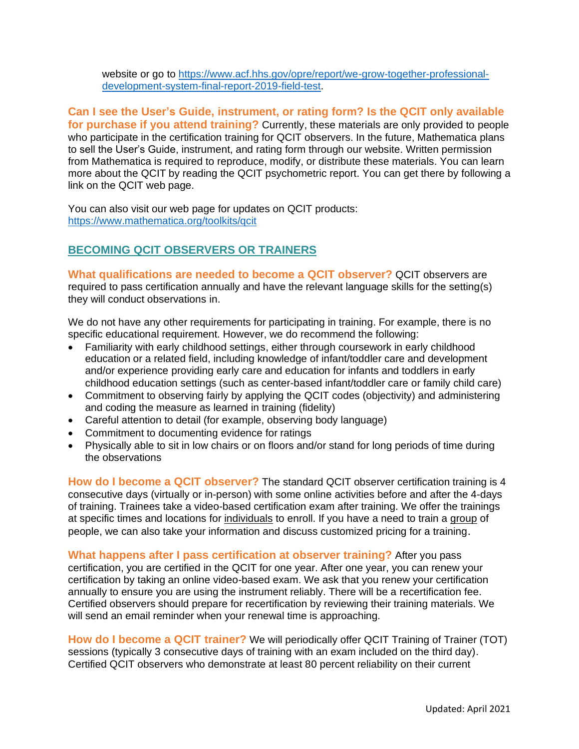website or go to [https://www.acf.hhs.gov/opre/report/we-grow-together-professional](https://www.acf.hhs.gov/opre/report/we-grow-together-professional-development-system-final-report-2019-field-test)[development-system-final-report-2019-field-test.](https://www.acf.hhs.gov/opre/report/we-grow-together-professional-development-system-final-report-2019-field-test)

**Can I see the User's Guide, instrument, or rating form? Is the QCIT only available for purchase if you attend training?** Currently, these materials are only provided to people who participate in the certification training for QCIT observers. In the future, Mathematica plans to sell the User's Guide, instrument, and rating form through our website. Written permission from Mathematica is required to reproduce, modify, or distribute these materials. You can learn more about the QCIT by reading the QCIT psychometric report. You can get there by following a link on the QCIT web page.

You can also visit our web page for updates on QCIT products: <https://www.mathematica.org/toolkits/qcit>

## **BECOMING QCIT OBSERVERS OR TRAINERS**

**What qualifications are needed to become a QCIT observer?** QCIT observers are required to pass certification annually and have the relevant language skills for the setting(s) they will conduct observations in.

We do not have any other requirements for participating in training. For example, there is no specific educational requirement. However, we do recommend the following:

- Familiarity with early childhood settings, either through coursework in early childhood education or a related field, including knowledge of infant/toddler care and development and/or experience providing early care and education for infants and toddlers in early childhood education settings (such as center-based infant/toddler care or family child care)
- Commitment to observing fairly by applying the QCIT codes (objectivity) and administering and coding the measure as learned in training (fidelity)
- Careful attention to detail (for example, observing body language)
- Commitment to documenting evidence for ratings
- Physically able to sit in low chairs or on floors and/or stand for long periods of time during the observations

**How do I become a QCIT observer?** The standard QCIT observer certification training is 4 consecutive days (virtually or in-person) with some online activities before and after the 4-days of training. Trainees take a video-based certification exam after training. We offer the trainings at specific times and locations for individuals to enroll. If you have a need to train a group of people, we can also take your information and discuss customized pricing for a training.

**What happens after I pass certification at observer training?** After you pass

certification, you are certified in the QCIT for one year. After one year, you can renew your certification by taking an online video-based exam. We ask that you renew your certification annually to ensure you are using the instrument reliably. There will be a recertification fee. Certified observers should prepare for recertification by reviewing their training materials. We will send an email reminder when your renewal time is approaching.

**How do I become a QCIT trainer?** We will periodically offer QCIT Training of Trainer (TOT) sessions (typically 3 consecutive days of training with an exam included on the third day). Certified QCIT observers who demonstrate at least 80 percent reliability on their current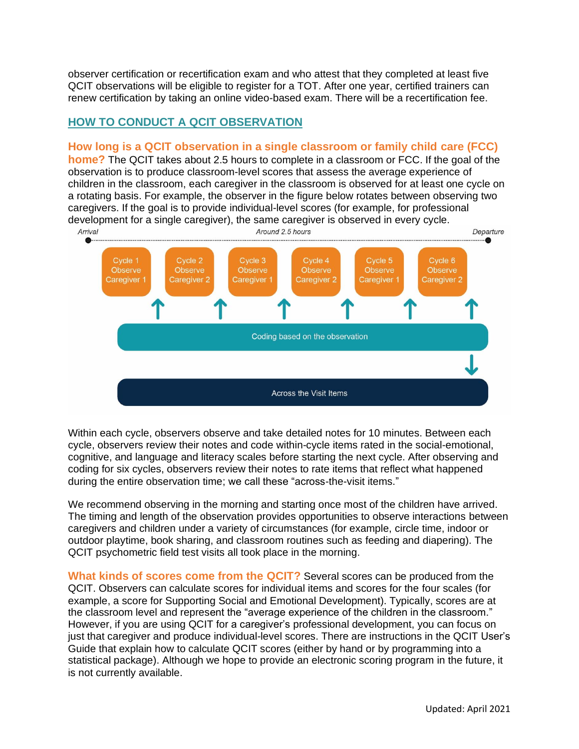observer certification or recertification exam and who attest that they completed at least five QCIT observations will be eligible to register for a TOT. After one year, certified trainers can renew certification by taking an online video-based exam. There will be a recertification fee.

## **HOW TO CONDUCT A QCIT OBSERVATION**

### **How long is a QCIT observation in a single classroom or family child care (FCC)**

**home?** The QCIT takes about 2.5 hours to complete in a classroom or FCC. If the goal of the observation is to produce classroom-level scores that assess the average experience of children in the classroom, each caregiver in the classroom is observed for at least one cycle on a rotating basis. For example, the observer in the figure below rotates between observing two caregivers. If the goal is to provide individual-level scores (for example, for professional development for a single caregiver), the same caregiver is observed in every cycle.



Within each cycle, observers observe and take detailed notes for 10 minutes. Between each cycle, observers review their notes and code within-cycle items rated in the social-emotional, cognitive, and language and literacy scales before starting the next cycle. After observing and coding for six cycles, observers review their notes to rate items that reflect what happened during the entire observation time; we call these "across-the-visit items."

We recommend observing in the morning and starting once most of the children have arrived. The timing and length of the observation provides opportunities to observe interactions between caregivers and children under a variety of circumstances (for example, circle time, indoor or outdoor playtime, book sharing, and classroom routines such as feeding and diapering). The QCIT psychometric field test visits all took place in the morning.

**What kinds of scores come from the QCIT?** Several scores can be produced from the QCIT. Observers can calculate scores for individual items and scores for the four scales (for example, a score for Supporting Social and Emotional Development). Typically, scores are at the classroom level and represent the "average experience of the children in the classroom." However, if you are using QCIT for a caregiver's professional development, you can focus on just that caregiver and produce individual-level scores. There are instructions in the QCIT User's Guide that explain how to calculate QCIT scores (either by hand or by programming into a statistical package). Although we hope to provide an electronic scoring program in the future, it is not currently available.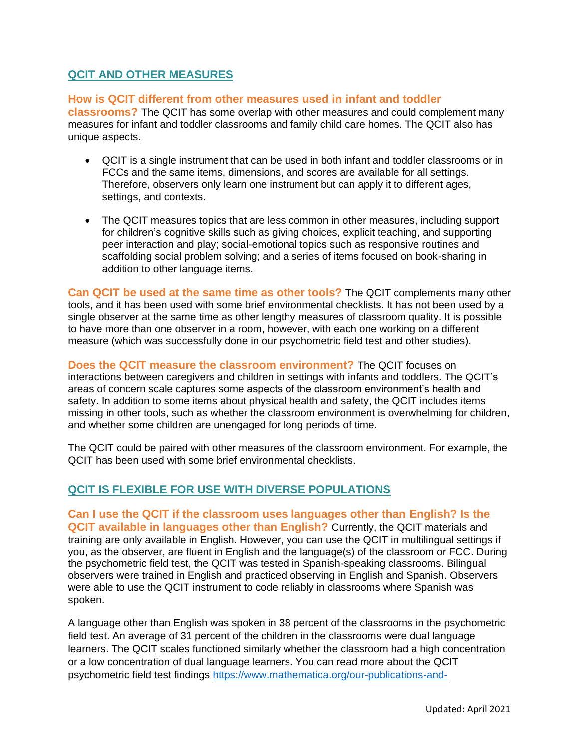## **QCIT AND OTHER MEASURES**

#### **How is QCIT different from other measures used in infant and toddler**

**classrooms?** The QCIT has some overlap with other measures and could complement many measures for infant and toddler classrooms and family child care homes. The QCIT also has unique aspects.

- QCIT is a single instrument that can be used in both infant and toddler classrooms or in FCCs and the same items, dimensions, and scores are available for all settings. Therefore, observers only learn one instrument but can apply it to different ages, settings, and contexts.
- The QCIT measures topics that are less common in other measures, including support for children's cognitive skills such as giving choices, explicit teaching, and supporting peer interaction and play; social-emotional topics such as responsive routines and scaffolding social problem solving; and a series of items focused on book-sharing in addition to other language items.

**Can QCIT be used at the same time as other tools?** The QCIT complements many other tools, and it has been used with some brief environmental checklists. It has not been used by a single observer at the same time as other lengthy measures of classroom quality. It is possible to have more than one observer in a room, however, with each one working on a different measure (which was successfully done in our psychometric field test and other studies).

**Does the QCIT measure the classroom environment?** The QCIT focuses on interactions between caregivers and children in settings with infants and toddlers. The QCIT's areas of concern scale captures some aspects of the classroom environment's health and safety. In addition to some items about physical health and safety, the QCIT includes items missing in other tools, such as whether the classroom environment is overwhelming for children, and whether some children are unengaged for long periods of time.

The QCIT could be paired with other measures of the classroom environment. For example, the QCIT has been used with some brief environmental checklists.

## **QCIT IS FLEXIBLE FOR USE WITH DIVERSE POPULATIONS**

**Can I use the QCIT if the classroom uses languages other than English? Is the QCIT available in languages other than English?** Currently, the QCIT materials and training are only available in English. However, you can use the QCIT in multilingual settings if you, as the observer, are fluent in English and the language(s) of the classroom or FCC. During the psychometric field test, the QCIT was tested in Spanish-speaking classrooms. Bilingual observers were trained in English and practiced observing in English and Spanish. Observers were able to use the QCIT instrument to code reliably in classrooms where Spanish was spoken.

A language other than English was spoken in 38 percent of the classrooms in the psychometric field test. An average of 31 percent of the children in the classrooms were dual language learners. The QCIT scales functioned similarly whether the classroom had a high concentration or a low concentration of dual language learners. You can read more about the QCIT psychometric field test findings [https://www.mathematica.org/our-publications-and-](https://www.mathematica.org/our-publications-and-findings/publications/measuring-the-quality-of-caregiverchild-interactions-for-infants-and-toddlers-q-cciit)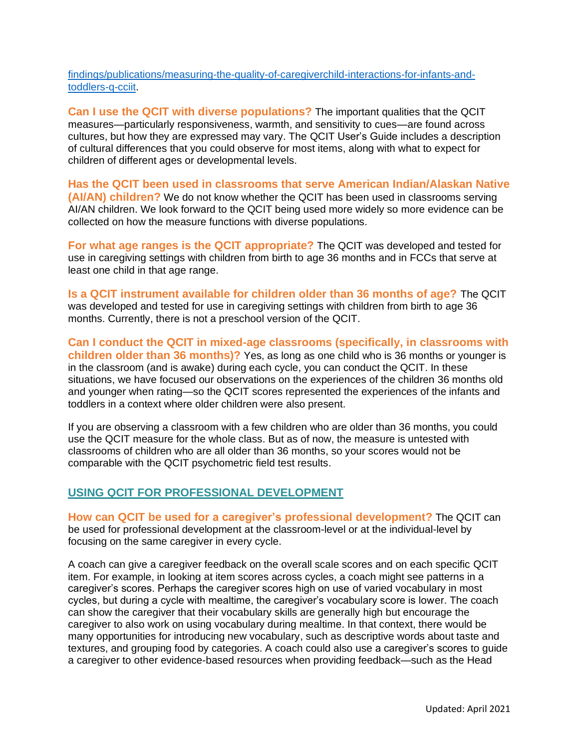[findings/publications/measuring-the-quality-of-caregiverchild-interactions-for-infants-and](https://www.mathematica.org/our-publications-and-findings/publications/measuring-the-quality-of-caregiverchild-interactions-for-infants-and-toddlers-q-cciit)[toddlers-q-cciit.](https://www.mathematica.org/our-publications-and-findings/publications/measuring-the-quality-of-caregiverchild-interactions-for-infants-and-toddlers-q-cciit)

**Can I use the QCIT with diverse populations?** The important qualities that the QCIT measures—particularly responsiveness, warmth, and sensitivity to cues—are found across cultures, but how they are expressed may vary. The QCIT User's Guide includes a description of cultural differences that you could observe for most items, along with what to expect for children of different ages or developmental levels.

**Has the QCIT been used in classrooms that serve American Indian/Alaskan Native (AI/AN) children?** We do not know whether the QCIT has been used in classrooms serving AI/AN children. We look forward to the QCIT being used more widely so more evidence can be collected on how the measure functions with diverse populations.

**For what age ranges is the QCIT appropriate?** The QCIT was developed and tested for use in caregiving settings with children from birth to age 36 months and in FCCs that serve at least one child in that age range.

**Is a QCIT instrument available for children older than 36 months of age?** The QCIT was developed and tested for use in caregiving settings with children from birth to age 36 months. Currently, there is not a preschool version of the QCIT.

**Can I conduct the QCIT in mixed-age classrooms (specifically, in classrooms with children older than 36 months)?** Yes, as long as one child who is 36 months or younger is in the classroom (and is awake) during each cycle, you can conduct the QCIT. In these situations, we have focused our observations on the experiences of the children 36 months old and younger when rating—so the QCIT scores represented the experiences of the infants and toddlers in a context where older children were also present.

If you are observing a classroom with a few children who are older than 36 months, you could use the QCIT measure for the whole class. But as of now, the measure is untested with classrooms of children who are all older than 36 months, so your scores would not be comparable with the QCIT psychometric field test results.

#### **USING QCIT FOR PROFESSIONAL DEVELOPMENT**

**How can QCIT be used for a caregiver's professional development?** The QCIT can be used for professional development at the classroom-level or at the individual-level by focusing on the same caregiver in every cycle.

A coach can give a caregiver feedback on the overall scale scores and on each specific QCIT item. For example, in looking at item scores across cycles, a coach might see patterns in a caregiver's scores. Perhaps the caregiver scores high on use of varied vocabulary in most cycles, but during a cycle with mealtime, the caregiver's vocabulary score is lower. The coach can show the caregiver that their vocabulary skills are generally high but encourage the caregiver to also work on using vocabulary during mealtime. In that context, there would be many opportunities for introducing new vocabulary, such as descriptive words about taste and textures, and grouping food by categories. A coach could also use a caregiver's scores to guide a caregiver to other evidence-based resources when providing feedback—such as the Head